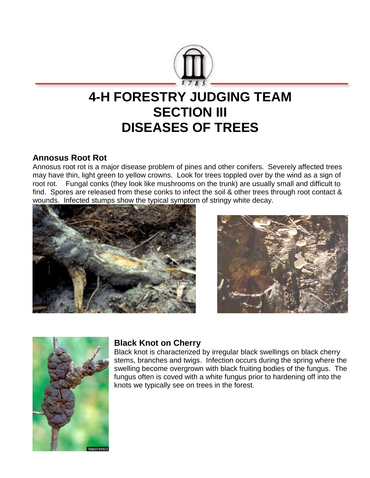

# **4-H FORESTRY JUDGING TEAM SECTION III DISEASES OF TREES**

### **Annosus Root Rot**

Annosus root rot is a major disease problem of pines and other conifers. Severely affected trees may have thin, light green to yellow crowns. Look for trees toppled over by the wind as a sign of root rot. Fungal conks (they look like mushrooms on the trunk) are usually small and difficult to find. Spores are released from these conks to infect the soil & other trees through root contact & wounds. Infected stumps show the typical symptom of stringy white decay.







# **Black Knot on Cherry**

Black knot is characterized by irregular black swellings on black cherry stems, branches and twigs. Infection occurs during the spring where the swelling become overgrown with black fruiting bodies of the fungus. The fungus often is coved with a white fungus prior to hardening off into the knots we typically see on trees in the forest.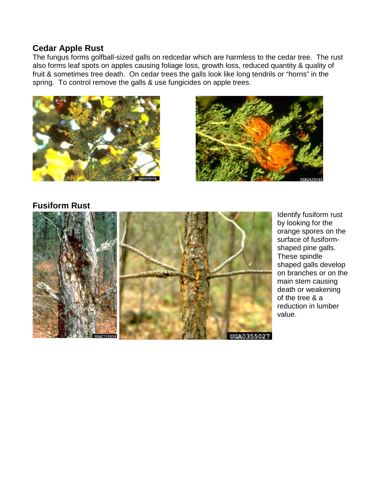#### **Cedar Apple Rust**

The fungus forms golfball-sized galls on redcedar which are harmless to the cedar tree. The rust also forms leaf spots on apples causing foliage loss, growth loss, reduced quantity & quality of fruit & sometimes tree death. On cedar trees the galls look like long tendrils or "horns" in the spring. To control remove the galls & use fungicides on apple trees.





#### **Fusiform Rust**



Identify fusiform rust by looking for the orange spores on the surface of fusiformshaped pine galls. These spindle shaped galls develop on branches or on the main stem causing death or weakening of the tree & a reduction in lumber value.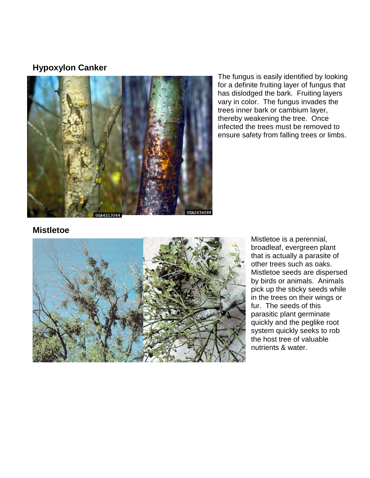### **Hypoxylon Canker**



The fungus is easily identified by looking for a definite fruiting layer of fungus that has dislodged the bark. Fruiting layers vary in color. The fungus invades the trees inner bark or cambium layer, thereby weakening the tree. Once infected the trees must be removed to ensure safety from falling trees or limbs.

# **Mistletoe**



Mistletoe is a perennial, broadleaf, evergreen plant that is actually a parasite of other trees such as oaks. Mistletoe seeds are dispersed by birds or animals. Animals pick up the sticky seeds while in the trees on their wings or fur. The seeds of this parasitic plant germinate quickly and the peglike root system quickly seeks to rob the host tree of valuable nutrients & water.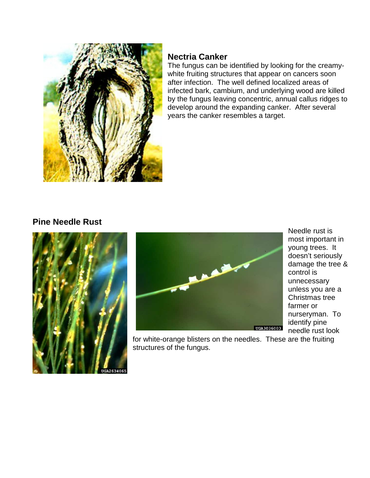

# **Nectria Canker**

The fungus can be identified by looking for the creamywhite fruiting structures that appear on cancers soon after infection. The well defined localized areas of infected bark, cambium, and underlying wood are killed by the fungus leaving concentric, annual callus ridges to develop around the expanding canker. After several years the canker resembles a target.

# **Pine Needle Rust**





Needle rust is most important in young trees. It doesn't seriously damage the tree & control is unnecessary unless you are a Christmas tree farmer or nurseryman. To identify pine needle rust look

for white-orange blisters on the needles. These are the fruiting structures of the fungus.